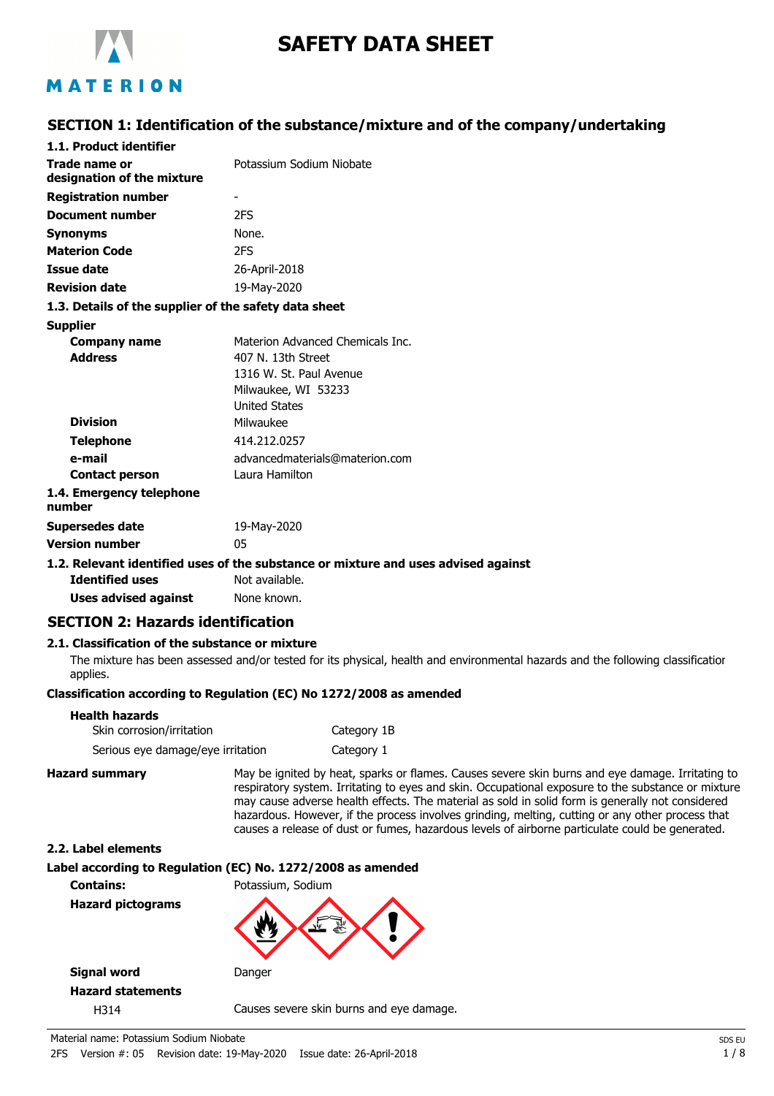

# **SAFETY DATA SHEET**

## MATERION

### **SECTION 1: Identification of the substance/mixture and of the company/undertaking**

| 1.1. Product identifier                               |                                                                               |
|-------------------------------------------------------|-------------------------------------------------------------------------------|
| Trade name or                                         | Potassium Sodium Niobate                                                      |
| designation of the mixture                            |                                                                               |
| <b>Registration number</b>                            | -                                                                             |
| <b>Document number</b>                                | 2FS                                                                           |
| <b>Synonyms</b>                                       | None.                                                                         |
| <b>Materion Code</b>                                  | 2FS                                                                           |
| <b>Issue date</b>                                     | 26-April-2018                                                                 |
| <b>Revision date</b>                                  | 19-May-2020                                                                   |
| 1.3. Details of the supplier of the safety data sheet |                                                                               |
| <b>Supplier</b>                                       |                                                                               |
| <b>Company name</b>                                   | Materion Advanced Chemicals Inc.                                              |
| <b>Address</b>                                        | 407 N. 13th Street                                                            |
|                                                       | 1316 W. St. Paul Avenue                                                       |
|                                                       | Milwaukee, WI 53233                                                           |
|                                                       | <b>United States</b>                                                          |
| <b>Division</b>                                       | Milwaukee                                                                     |
| <b>Telephone</b>                                      | 414.212.0257                                                                  |
| e-mail                                                | advancedmaterials@materion.com                                                |
| <b>Contact person</b>                                 | Laura Hamilton                                                                |
| 1.4. Emergency telephone<br>number                    |                                                                               |
| <b>Supersedes date</b>                                | 19-May-2020                                                                   |
| <b>Version number</b>                                 | 05                                                                            |
|                                                       | 1.2. Relevant identified uses of the substance or mixture and uses advised ag |
|                                                       |                                                                               |

#### **1.2. Relevant identified uses of the substance or mixture and uses advised against**

**Identified uses** Not available. **Uses advised against** None known.

### **SECTION 2: Hazards identification**

#### **2.1. Classification of the substance or mixture**

The mixture has been assessed and/or tested for its physical, health and environmental hazards and the following classification applies.

### **Classification according to Regulation (EC) No 1272/2008 as amended**

| Health hazards                    |             |
|-----------------------------------|-------------|
| Skin corrosion/irritation         | Category 1B |
| Serious eye damage/eye irritation | Category 1  |

**Hazard summary** May be ignited by heat, sparks or flames. Causes severe skin burns and eye damage. Irritating to respiratory system. Irritating to eyes and skin. Occupational exposure to the substance or mixture may cause adverse health effects. The material as sold in solid form is generally not considered hazardous. However, if the process involves grinding, melting, cutting or any other process that causes a release of dust or fumes, hazardous levels of airborne particulate could be generated.

#### **2.2. Label elements**

**Label according to Regulation (EC) No. 1272/2008 as amended Contains:** Potassium, Sodium

**Hazard pictograms**



**Signal word** Danger **Hazard statements**

H314 Causes severe skin burns and eye damage.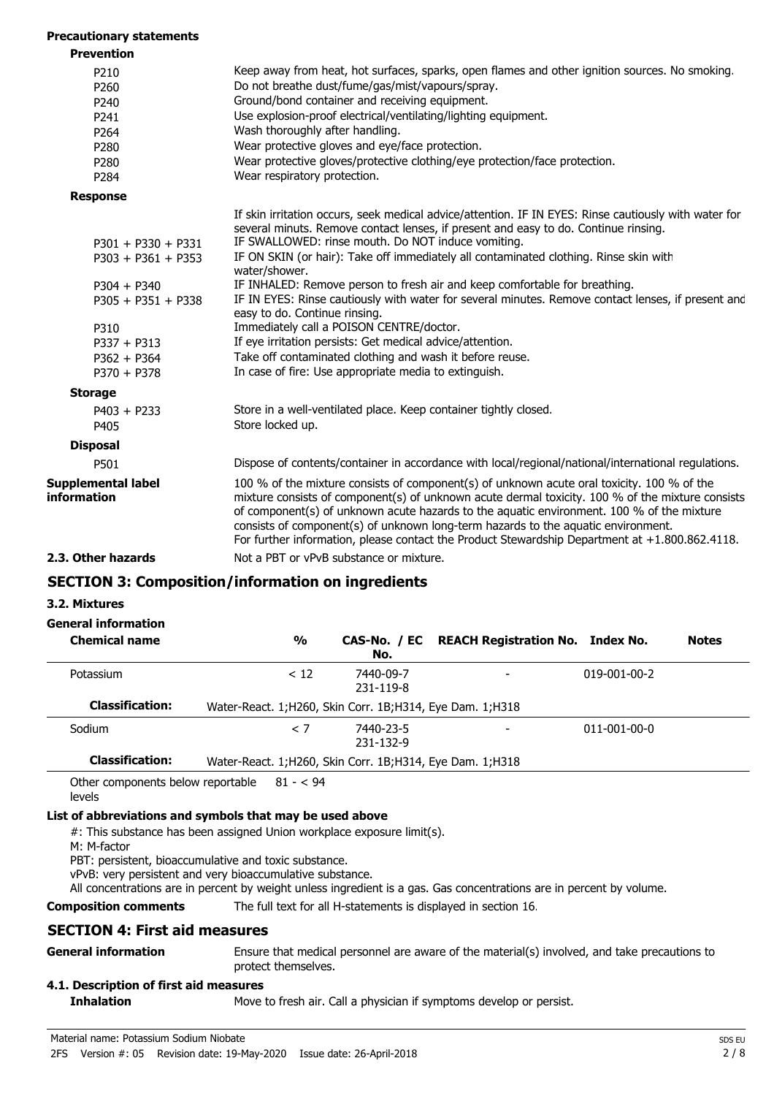#### **Precautionary statements**

| <b>Prevention</b>                        |                                                                                                                                                                                                                                                                                                                                                                                                                                                                                    |
|------------------------------------------|------------------------------------------------------------------------------------------------------------------------------------------------------------------------------------------------------------------------------------------------------------------------------------------------------------------------------------------------------------------------------------------------------------------------------------------------------------------------------------|
| P210                                     | Keep away from heat, hot surfaces, sparks, open flames and other ignition sources. No smoking.                                                                                                                                                                                                                                                                                                                                                                                     |
| P260                                     | Do not breathe dust/fume/gas/mist/vapours/spray.                                                                                                                                                                                                                                                                                                                                                                                                                                   |
| P240                                     | Ground/bond container and receiving equipment.                                                                                                                                                                                                                                                                                                                                                                                                                                     |
| P241                                     | Use explosion-proof electrical/ventilating/lighting equipment.                                                                                                                                                                                                                                                                                                                                                                                                                     |
| P264                                     | Wash thoroughly after handling.                                                                                                                                                                                                                                                                                                                                                                                                                                                    |
| P280                                     | Wear protective gloves and eye/face protection.                                                                                                                                                                                                                                                                                                                                                                                                                                    |
| P280                                     | Wear protective gloves/protective clothing/eye protection/face protection.                                                                                                                                                                                                                                                                                                                                                                                                         |
| P284                                     | Wear respiratory protection.                                                                                                                                                                                                                                                                                                                                                                                                                                                       |
| <b>Response</b>                          |                                                                                                                                                                                                                                                                                                                                                                                                                                                                                    |
|                                          | If skin irritation occurs, seek medical advice/attention. IF IN EYES: Rinse cautiously with water for<br>several minuts. Remove contact lenses, if present and easy to do. Continue rinsing.                                                                                                                                                                                                                                                                                       |
| $P301 + P330 + P331$                     | IF SWALLOWED: rinse mouth. Do NOT induce vomiting.                                                                                                                                                                                                                                                                                                                                                                                                                                 |
| $P303 + P361 + P353$                     | IF ON SKIN (or hair): Take off immediately all contaminated clothing. Rinse skin with<br>water/shower.                                                                                                                                                                                                                                                                                                                                                                             |
| $P304 + P340$                            | IF INHALED: Remove person to fresh air and keep comfortable for breathing.                                                                                                                                                                                                                                                                                                                                                                                                         |
| $P305 + P351 + P338$                     | IF IN EYES: Rinse cautiously with water for several minutes. Remove contact lenses, if present and<br>easy to do. Continue rinsing.                                                                                                                                                                                                                                                                                                                                                |
| P310                                     | Immediately call a POISON CENTRE/doctor.                                                                                                                                                                                                                                                                                                                                                                                                                                           |
| $P337 + P313$                            | If eye irritation persists: Get medical advice/attention.                                                                                                                                                                                                                                                                                                                                                                                                                          |
| $P362 + P364$                            | Take off contaminated clothing and wash it before reuse.                                                                                                                                                                                                                                                                                                                                                                                                                           |
| $P370 + P378$                            | In case of fire: Use appropriate media to extinguish.                                                                                                                                                                                                                                                                                                                                                                                                                              |
| <b>Storage</b>                           |                                                                                                                                                                                                                                                                                                                                                                                                                                                                                    |
| $P403 + P233$                            | Store in a well-ventilated place. Keep container tightly closed.                                                                                                                                                                                                                                                                                                                                                                                                                   |
| P405                                     | Store locked up.                                                                                                                                                                                                                                                                                                                                                                                                                                                                   |
| <b>Disposal</b>                          |                                                                                                                                                                                                                                                                                                                                                                                                                                                                                    |
| P501                                     | Dispose of contents/container in accordance with local/regional/national/international regulations.                                                                                                                                                                                                                                                                                                                                                                                |
| <b>Supplemental label</b><br>information | 100 % of the mixture consists of component(s) of unknown acute oral toxicity. 100 % of the<br>mixture consists of component(s) of unknown acute dermal toxicity. 100 % of the mixture consists<br>of component(s) of unknown acute hazards to the aquatic environment. 100 % of the mixture<br>consists of component(s) of unknown long-term hazards to the aquatic environment.<br>For further information, please contact the Product Stewardship Department at +1.800.862.4118. |
| 2.3. Other hazards                       | Not a PBT or vPvB substance or mixture.                                                                                                                                                                                                                                                                                                                                                                                                                                            |
|                                          | <b>SECTION 3: Composition/information on ingredients</b>                                                                                                                                                                                                                                                                                                                                                                                                                           |

#### **3.2. Mixtures**

### **General information**

| <b>Chemical name</b>   | $\frac{0}{0}$                                               | No.                    | CAS-No. / EC REACH Registration No. Index No. |                      | <b>Notes</b> |
|------------------------|-------------------------------------------------------------|------------------------|-----------------------------------------------|----------------------|--------------|
| Potassium              | < 12                                                        | 7440-09-7<br>231-119-8 |                                               | $019 - 001 - 00 - 2$ |              |
| <b>Classification:</b> | Water-React. 1; H260, Skin Corr. 1B; H314, Eye Dam. 1; H318 |                        |                                               |                      |              |
| Sodium                 | $\langle$ 7                                                 | 7440-23-5<br>231-132-9 |                                               | $011 - 001 - 00 - 0$ |              |
| <b>Classification:</b> | Water-React. 1; H260, Skin Corr. 1B; H314, Eye Dam. 1; H318 |                        |                                               |                      |              |

Other components below reportable  $81 - 594$ 

levels

### **List of abbreviations and symbols that may be used above**

#: This substance has been assigned Union workplace exposure limit(s).

M: M-factor

PBT: persistent, bioaccumulative and toxic substance.

vPvB: very persistent and very bioaccumulative substance.

All concentrations are in percent by weight unless ingredient is a gas. Gas concentrations are in percent by volume.

**Composition comments** The full text for all H-statements is displayed in section 16.

### **SECTION 4: First aid measures**

| General information | Ensure that medical personnel are aware of the material(s) involved, and take precautions to |
|---------------------|----------------------------------------------------------------------------------------------|
|                     | protect themselves.                                                                          |

#### **4.1. Description of first aid measures**

**Inhalation** Move to fresh air. Call a physician if symptoms develop or persist.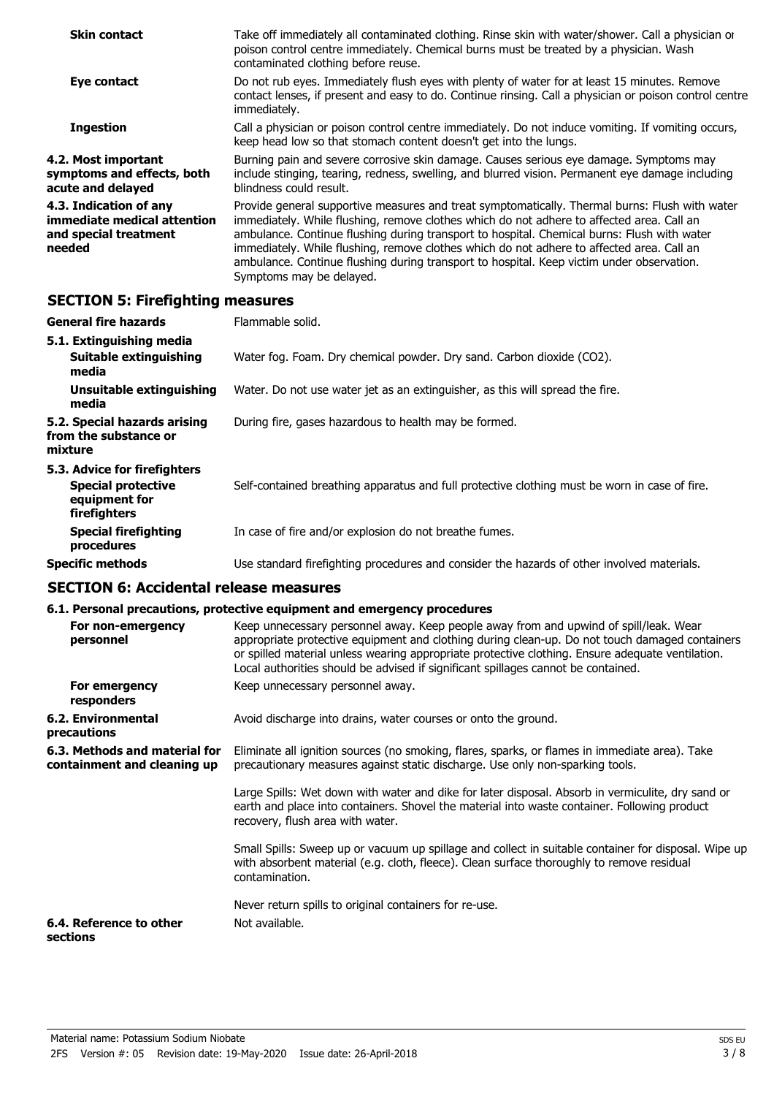| <b>Skin contact</b>                                                                      | Take off immediately all contaminated clothing. Rinse skin with water/shower. Call a physician or<br>poison control centre immediately. Chemical burns must be treated by a physician. Wash<br>contaminated clothing before reuse.                                                                                                                                                                                                                                                                               |
|------------------------------------------------------------------------------------------|------------------------------------------------------------------------------------------------------------------------------------------------------------------------------------------------------------------------------------------------------------------------------------------------------------------------------------------------------------------------------------------------------------------------------------------------------------------------------------------------------------------|
| Eye contact                                                                              | Do not rub eyes. Immediately flush eyes with plenty of water for at least 15 minutes. Remove<br>contact lenses, if present and easy to do. Continue rinsing. Call a physician or poison control centre<br>immediately.                                                                                                                                                                                                                                                                                           |
| <b>Ingestion</b>                                                                         | Call a physician or poison control centre immediately. Do not induce vomiting. If vomiting occurs,<br>keep head low so that stomach content doesn't get into the lungs.                                                                                                                                                                                                                                                                                                                                          |
| 4.2. Most important<br>symptoms and effects, both<br>acute and delayed                   | Burning pain and severe corrosive skin damage. Causes serious eye damage. Symptoms may<br>include stinging, tearing, redness, swelling, and blurred vision. Permanent eye damage including<br>blindness could result.                                                                                                                                                                                                                                                                                            |
| 4.3. Indication of any<br>immediate medical attention<br>and special treatment<br>needed | Provide general supportive measures and treat symptomatically. Thermal burns: Flush with water<br>immediately. While flushing, remove clothes which do not adhere to affected area. Call an<br>ambulance. Continue flushing during transport to hospital. Chemical burns: Flush with water<br>immediately. While flushing, remove clothes which do not adhere to affected area. Call an<br>ambulance. Continue flushing during transport to hospital. Keep victim under observation.<br>Symptoms may be delayed. |

## **SECTION 5: Firefighting measures**

| <b>General fire hazards</b>                                                                | Flammable solid.                                                                              |
|--------------------------------------------------------------------------------------------|-----------------------------------------------------------------------------------------------|
| 5.1. Extinguishing media<br>Suitable extinguishing<br>media                                | Water fog. Foam. Dry chemical powder. Dry sand. Carbon dioxide (CO2).                         |
| Unsuitable extinguishing<br>media                                                          | Water. Do not use water jet as an extinguisher, as this will spread the fire.                 |
| 5.2. Special hazards arising<br>from the substance or<br>mixture                           | During fire, gases hazardous to health may be formed.                                         |
| 5.3. Advice for firefighters<br><b>Special protective</b><br>equipment for<br>firefighters | Self-contained breathing apparatus and full protective clothing must be worn in case of fire. |
| <b>Special firefighting</b><br>procedures                                                  | In case of fire and/or explosion do not breathe fumes.                                        |
| <b>Specific methods</b>                                                                    | Use standard firefighting procedures and consider the hazards of other involved materials.    |

## **SECTION 6: Accidental release measures**

### **6.1. Personal precautions, protective equipment and emergency procedures**

| For non-emergency<br>personnel                               | Keep unnecessary personnel away. Keep people away from and upwind of spill/leak. Wear<br>appropriate protective equipment and clothing during clean-up. Do not touch damaged containers<br>or spilled material unless wearing appropriate protective clothing. Ensure adequate ventilation.<br>Local authorities should be advised if significant spillages cannot be contained. |
|--------------------------------------------------------------|----------------------------------------------------------------------------------------------------------------------------------------------------------------------------------------------------------------------------------------------------------------------------------------------------------------------------------------------------------------------------------|
| For emergency<br>responders                                  | Keep unnecessary personnel away.                                                                                                                                                                                                                                                                                                                                                 |
| 6.2. Environmental<br>precautions                            | Avoid discharge into drains, water courses or onto the ground.                                                                                                                                                                                                                                                                                                                   |
| 6.3. Methods and material for<br>containment and cleaning up | Eliminate all ignition sources (no smoking, flares, sparks, or flames in immediate area). Take<br>precautionary measures against static discharge. Use only non-sparking tools.                                                                                                                                                                                                  |
|                                                              | Large Spills: Wet down with water and dike for later disposal. Absorb in vermiculite, dry sand or<br>earth and place into containers. Shovel the material into waste container. Following product<br>recovery, flush area with water.                                                                                                                                            |
|                                                              | Small Spills: Sweep up or vacuum up spillage and collect in suitable container for disposal. Wipe up<br>with absorbent material (e.g. cloth, fleece). Clean surface thoroughly to remove residual<br>contamination.                                                                                                                                                              |
|                                                              | Never return spills to original containers for re-use.                                                                                                                                                                                                                                                                                                                           |
| 6.4. Reference to other<br>sections                          | Not available.                                                                                                                                                                                                                                                                                                                                                                   |
|                                                              |                                                                                                                                                                                                                                                                                                                                                                                  |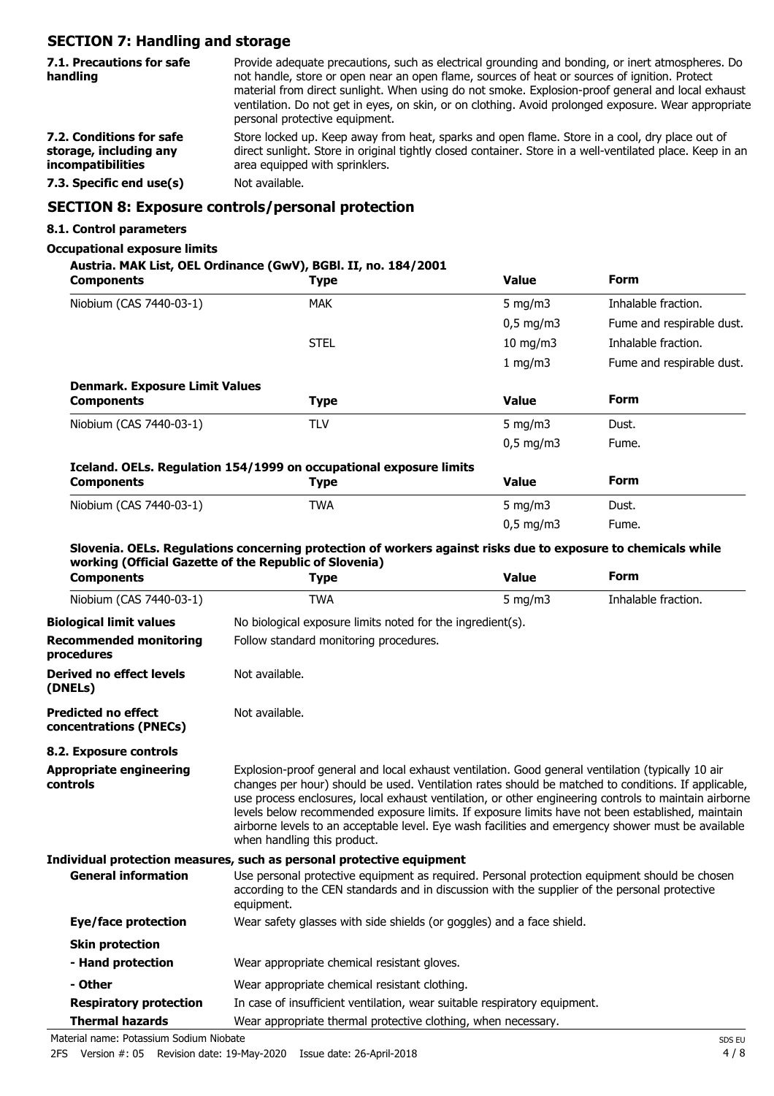## **SECTION 7: Handling and storage**

| 7.1. Precautions for safe<br>handling                                   | Provide adequate precautions, such as electrical grounding and bonding, or inert atmospheres. Do<br>not handle, store or open near an open flame, sources of heat or sources of ignition. Protect<br>material from direct sunlight. When using do not smoke. Explosion-proof general and local exhaust<br>ventilation. Do not get in eyes, on skin, or on clothing. Avoid prolonged exposure. Wear appropriate<br>personal protective equipment. |
|-------------------------------------------------------------------------|--------------------------------------------------------------------------------------------------------------------------------------------------------------------------------------------------------------------------------------------------------------------------------------------------------------------------------------------------------------------------------------------------------------------------------------------------|
| 7.2. Conditions for safe<br>storage, including any<br>incompatibilities | Store locked up. Keep away from heat, sparks and open flame. Store in a cool, dry place out of<br>direct sunlight. Store in original tightly closed container. Store in a well-ventilated place. Keep in an<br>area equipped with sprinklers.                                                                                                                                                                                                    |
| 7.3. Specific end use(s)                                                | Not available.                                                                                                                                                                                                                                                                                                                                                                                                                                   |
|                                                                         | CECTION O. Evangerra controle/novement nucleation                                                                                                                                                                                                                                                                                                                                                                                                |

### **SECTION 8: Exposure controls/personal protection**

### **8.1. Control parameters**

### **Occupational exposure limits**

**Austria. MAK List, OEL Ordinance (GwV), BGBl. II, no. 184/2001**

| <b>Components</b>                                    | <b>Type</b>                                                                                                                                                                                                                                                                                                                                                                                                                                                                                                                                                | <b>Value</b> | <b>Form</b>               |
|------------------------------------------------------|------------------------------------------------------------------------------------------------------------------------------------------------------------------------------------------------------------------------------------------------------------------------------------------------------------------------------------------------------------------------------------------------------------------------------------------------------------------------------------------------------------------------------------------------------------|--------------|---------------------------|
| Niobium (CAS 7440-03-1)                              | <b>MAK</b>                                                                                                                                                                                                                                                                                                                                                                                                                                                                                                                                                 | 5 mg/m $3$   | Inhalable fraction.       |
|                                                      |                                                                                                                                                                                                                                                                                                                                                                                                                                                                                                                                                            | $0.5$ mg/m3  | Fume and respirable dust. |
|                                                      | <b>STEL</b>                                                                                                                                                                                                                                                                                                                                                                                                                                                                                                                                                | 10 mg/m3     | Inhalable fraction.       |
|                                                      |                                                                                                                                                                                                                                                                                                                                                                                                                                                                                                                                                            | 1 mg/m3      | Fume and respirable dust. |
| <b>Denmark. Exposure Limit Values</b>                |                                                                                                                                                                                                                                                                                                                                                                                                                                                                                                                                                            |              |                           |
| <b>Components</b>                                    | <b>Type</b>                                                                                                                                                                                                                                                                                                                                                                                                                                                                                                                                                | <b>Value</b> | <b>Form</b>               |
| Niobium (CAS 7440-03-1)                              | <b>TLV</b>                                                                                                                                                                                                                                                                                                                                                                                                                                                                                                                                                 | $5$ mg/m $3$ | Dust.                     |
|                                                      |                                                                                                                                                                                                                                                                                                                                                                                                                                                                                                                                                            | $0,5$ mg/m3  | Fume.                     |
|                                                      | Iceland. OELs. Regulation 154/1999 on occupational exposure limits                                                                                                                                                                                                                                                                                                                                                                                                                                                                                         |              |                           |
| <b>Components</b>                                    | <b>Type</b>                                                                                                                                                                                                                                                                                                                                                                                                                                                                                                                                                | <b>Value</b> | <b>Form</b>               |
| Niobium (CAS 7440-03-1)                              | <b>TWA</b>                                                                                                                                                                                                                                                                                                                                                                                                                                                                                                                                                 | $5$ mg/m $3$ | Dust.                     |
|                                                      |                                                                                                                                                                                                                                                                                                                                                                                                                                                                                                                                                            | $0,5$ mg/m3  | Fume.                     |
|                                                      | Slovenia. OELs. Regulations concerning protection of workers against risks due to exposure to chemicals while                                                                                                                                                                                                                                                                                                                                                                                                                                              |              |                           |
|                                                      | working (Official Gazette of the Republic of Slovenia)                                                                                                                                                                                                                                                                                                                                                                                                                                                                                                     |              |                           |
| <b>Components</b>                                    | <b>Type</b>                                                                                                                                                                                                                                                                                                                                                                                                                                                                                                                                                | <b>Value</b> | <b>Form</b>               |
| Niobium (CAS 7440-03-1)                              | <b>TWA</b>                                                                                                                                                                                                                                                                                                                                                                                                                                                                                                                                                 | $5$ mg/m $3$ | Inhalable fraction.       |
| <b>Biological limit values</b>                       | No biological exposure limits noted for the ingredient(s).                                                                                                                                                                                                                                                                                                                                                                                                                                                                                                 |              |                           |
| <b>Recommended monitoring</b><br>procedures          | Follow standard monitoring procedures.                                                                                                                                                                                                                                                                                                                                                                                                                                                                                                                     |              |                           |
| <b>Derived no effect levels</b><br>(DNELs)           | Not available.                                                                                                                                                                                                                                                                                                                                                                                                                                                                                                                                             |              |                           |
| <b>Predicted no effect</b><br>concentrations (PNECs) | Not available.                                                                                                                                                                                                                                                                                                                                                                                                                                                                                                                                             |              |                           |
| 8.2. Exposure controls                               |                                                                                                                                                                                                                                                                                                                                                                                                                                                                                                                                                            |              |                           |
| <b>Appropriate engineering</b><br>controls           | Explosion-proof general and local exhaust ventilation. Good general ventilation (typically 10 air<br>changes per hour) should be used. Ventilation rates should be matched to conditions. If applicable,<br>use process enclosures, local exhaust ventilation, or other engineering controls to maintain airborne<br>levels below recommended exposure limits. If exposure limits have not been established, maintain<br>airborne levels to an acceptable level. Eye wash facilities and emergency shower must be available<br>when handling this product. |              |                           |
|                                                      | Individual protection measures, such as personal protective equipment                                                                                                                                                                                                                                                                                                                                                                                                                                                                                      |              |                           |
| <b>General information</b>                           | Use personal protective equipment as required. Personal protection equipment should be chosen<br>according to the CEN standards and in discussion with the supplier of the personal protective<br>equipment.                                                                                                                                                                                                                                                                                                                                               |              |                           |
| Eye/face protection                                  | Wear safety glasses with side shields (or goggles) and a face shield.                                                                                                                                                                                                                                                                                                                                                                                                                                                                                      |              |                           |
| <b>Skin protection</b>                               |                                                                                                                                                                                                                                                                                                                                                                                                                                                                                                                                                            |              |                           |
| - Hand protection                                    | Wear appropriate chemical resistant gloves.                                                                                                                                                                                                                                                                                                                                                                                                                                                                                                                |              |                           |
| - Other                                              | Wear appropriate chemical resistant clothing.                                                                                                                                                                                                                                                                                                                                                                                                                                                                                                              |              |                           |
| <b>Respiratory protection</b>                        | In case of insufficient ventilation, wear suitable respiratory equipment.                                                                                                                                                                                                                                                                                                                                                                                                                                                                                  |              |                           |
| <b>Thermal hazards</b>                               | Wear appropriate thermal protective clothing, when necessary.                                                                                                                                                                                                                                                                                                                                                                                                                                                                                              |              |                           |

Material name: Potassium Sodium Niobate SDS EU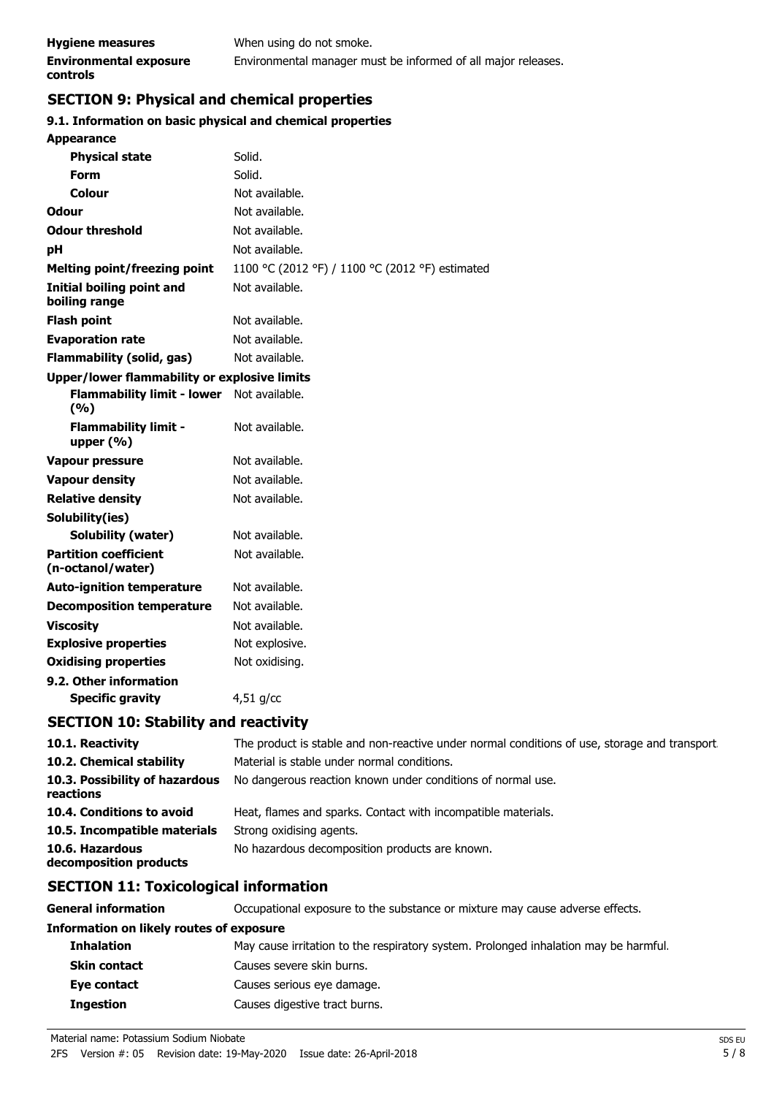### **SECTION 9: Physical and chemical properties**

### **9.1. Information on basic physical and chemical properties**

| <b>Appearance</b>                                   |                                                 |
|-----------------------------------------------------|-------------------------------------------------|
| <b>Physical state</b>                               | Solid.                                          |
| Form                                                | Solid.                                          |
| Colour                                              | Not available.                                  |
| Odour                                               | Not available.                                  |
| <b>Odour threshold</b>                              | Not available.                                  |
| pH                                                  | Not available.                                  |
| <b>Melting point/freezing point</b>                 | 1100 °C (2012 °F) / 1100 °C (2012 °F) estimated |
| <b>Initial boiling point and</b><br>boiling range   | Not available.                                  |
| <b>Flash point</b>                                  | Not available.                                  |
| <b>Evaporation rate</b>                             | Not available.                                  |
| <b>Flammability (solid, gas)</b>                    | Not available.                                  |
| <b>Upper/lower flammability or explosive limits</b> |                                                 |
| <b>Flammability limit - lower</b><br>(9/6)          | Not available.                                  |
| <b>Flammability limit -</b><br>upper $(% )$         | Not available.                                  |
| <b>Vapour pressure</b>                              | Not available.                                  |
| <b>Vapour density</b>                               | Not available.                                  |
| <b>Relative density</b>                             | Not available.                                  |
| Solubility(ies)                                     |                                                 |
| Solubility (water)                                  | Not available.                                  |
| <b>Partition coefficient</b><br>(n-octanol/water)   | Not available.                                  |
| <b>Auto-ignition temperature</b>                    | Not available.                                  |
| <b>Decomposition temperature</b>                    | Not available.                                  |
| <b>Viscosity</b>                                    | Not available.                                  |
| <b>Explosive properties</b>                         | Not explosive.                                  |
| <b>Oxidising properties</b>                         | Not oxidising.                                  |
| 9.2. Other information                              |                                                 |
| <b>Specific gravity</b>                             | $4,51$ g/cc                                     |
|                                                     |                                                 |

### **SECTION 10: Stability and reactivity**

| 10.1. Reactivity                            | The product is stable and non-reactive under normal conditions of use, storage and transport |
|---------------------------------------------|----------------------------------------------------------------------------------------------|
| 10.2. Chemical stability                    | Material is stable under normal conditions.                                                  |
| 10.3. Possibility of hazardous<br>reactions | No dangerous reaction known under conditions of normal use.                                  |
| 10.4. Conditions to avoid                   | Heat, flames and sparks. Contact with incompatible materials.                                |
| 10.5. Incompatible materials                | Strong oxidising agents.                                                                     |
| 10.6. Hazardous<br>decomposition products   | No hazardous decomposition products are known.                                               |

### **SECTION 11: Toxicological information**

**General information CCCUPATION** Occupational exposure to the substance or mixture may cause adverse effects.

#### **Information on likely routes of exposure**

| <b>Inhalation</b>   | May cause irritation to the respiratory system. Prolonged inhalation may be harmful. |
|---------------------|--------------------------------------------------------------------------------------|
| <b>Skin contact</b> | Causes severe skin burns.                                                            |
| Eye contact         | Causes serious eye damage.                                                           |
| <b>Ingestion</b>    | Causes digestive tract burns.                                                        |

Material name: Potassium Sodium Niobate SDS EU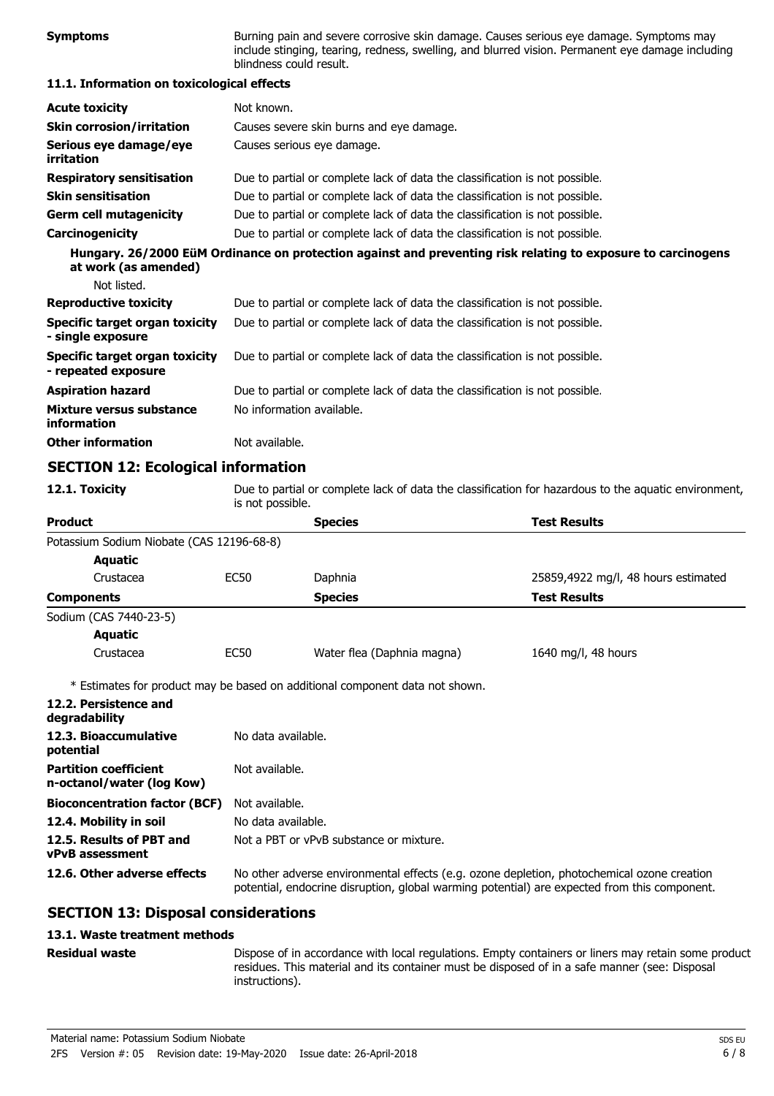| <b>Symptoms</b>                                              | Burning pain and severe corrosive skin damage. Causes serious eye damage. Symptoms may<br>include stinging, tearing, redness, swelling, and blurred vision. Permanent eye damage including<br>blindness could result. |                                                                                                              |                                     |  |
|--------------------------------------------------------------|-----------------------------------------------------------------------------------------------------------------------------------------------------------------------------------------------------------------------|--------------------------------------------------------------------------------------------------------------|-------------------------------------|--|
| 11.1. Information on toxicological effects                   |                                                                                                                                                                                                                       |                                                                                                              |                                     |  |
| <b>Acute toxicity</b>                                        | Not known.                                                                                                                                                                                                            |                                                                                                              |                                     |  |
| <b>Skin corrosion/irritation</b>                             | Causes severe skin burns and eye damage.                                                                                                                                                                              |                                                                                                              |                                     |  |
| Serious eye damage/eye<br>irritation                         | Causes serious eye damage.                                                                                                                                                                                            |                                                                                                              |                                     |  |
| <b>Respiratory sensitisation</b>                             | Due to partial or complete lack of data the classification is not possible.                                                                                                                                           |                                                                                                              |                                     |  |
| <b>Skin sensitisation</b>                                    | Due to partial or complete lack of data the classification is not possible.                                                                                                                                           |                                                                                                              |                                     |  |
| <b>Germ cell mutagenicity</b>                                | Due to partial or complete lack of data the classification is not possible.                                                                                                                                           |                                                                                                              |                                     |  |
| Carcinogenicity                                              | Due to partial or complete lack of data the classification is not possible.                                                                                                                                           |                                                                                                              |                                     |  |
| at work (as amended)                                         |                                                                                                                                                                                                                       | Hungary. 26/2000 EüM Ordinance on protection against and preventing risk relating to exposure to carcinogens |                                     |  |
| Not listed.                                                  |                                                                                                                                                                                                                       |                                                                                                              |                                     |  |
| <b>Reproductive toxicity</b>                                 | Due to partial or complete lack of data the classification is not possible.                                                                                                                                           |                                                                                                              |                                     |  |
| Specific target organ toxicity<br>- single exposure          | Due to partial or complete lack of data the classification is not possible.                                                                                                                                           |                                                                                                              |                                     |  |
| <b>Specific target organ toxicity</b><br>- repeated exposure | Due to partial or complete lack of data the classification is not possible.                                                                                                                                           |                                                                                                              |                                     |  |
| <b>Aspiration hazard</b>                                     |                                                                                                                                                                                                                       | Due to partial or complete lack of data the classification is not possible.                                  |                                     |  |
| Mixture versus substance<br>information                      | No information available.                                                                                                                                                                                             |                                                                                                              |                                     |  |
| <b>Other information</b>                                     | Not available.                                                                                                                                                                                                        |                                                                                                              |                                     |  |
| <b>SECTION 12: Ecological information</b>                    |                                                                                                                                                                                                                       |                                                                                                              |                                     |  |
| 12.1. Toxicity                                               | Due to partial or complete lack of data the classification for hazardous to the aquatic environment,<br>is not possible.                                                                                              |                                                                                                              |                                     |  |
| <b>Product</b>                                               |                                                                                                                                                                                                                       | <b>Species</b>                                                                                               | <b>Test Results</b>                 |  |
| Potassium Sodium Niobate (CAS 12196-68-8)<br><b>Aquatic</b>  |                                                                                                                                                                                                                       |                                                                                                              |                                     |  |
| Crustacea                                                    | <b>EC50</b>                                                                                                                                                                                                           | Daphnia                                                                                                      | 25859,4922 mg/l, 48 hours estimated |  |
| <b>Components</b>                                            |                                                                                                                                                                                                                       | <b>Species</b>                                                                                               | <b>Test Results</b>                 |  |
| Sodium (CAS 7440-23-5)                                       |                                                                                                                                                                                                                       |                                                                                                              |                                     |  |
| <b>Aquatic</b>                                               |                                                                                                                                                                                                                       |                                                                                                              |                                     |  |
| Crustacea                                                    | <b>EC50</b>                                                                                                                                                                                                           | Water flea (Daphnia magna)                                                                                   | 1640 mg/l, 48 hours                 |  |
|                                                              |                                                                                                                                                                                                                       | * Estimates for product may be based on additional component data not shown.                                 |                                     |  |

| 12.2. Persistence and<br>degradability                    |                                                                                                                                                                                            |
|-----------------------------------------------------------|--------------------------------------------------------------------------------------------------------------------------------------------------------------------------------------------|
| 12.3. Bioaccumulative<br>potential                        | No data available.                                                                                                                                                                         |
| <b>Partition coefficient</b><br>n-octanol/water (log Kow) | Not available.                                                                                                                                                                             |
| <b>Bioconcentration factor (BCF)</b>                      | Not available.                                                                                                                                                                             |
| 12.4. Mobility in soil                                    | No data available.                                                                                                                                                                         |
| 12.5. Results of PBT and<br><b>vPvB</b> assessment        | Not a PBT or vPvB substance or mixture.                                                                                                                                                    |
| 12.6. Other adverse effects                               | No other adverse environmental effects (e.g. ozone depletion, photochemical ozone creation<br>potential, endocrine disruption, global warming potential) are expected from this component. |

## **SECTION 13: Disposal considerations**

### **13.1. Waste treatment methods**

**Residual waste**

Dispose of in accordance with local regulations. Empty containers or liners may retain some product residues. This material and its container must be disposed of in a safe manner (see: Disposal instructions).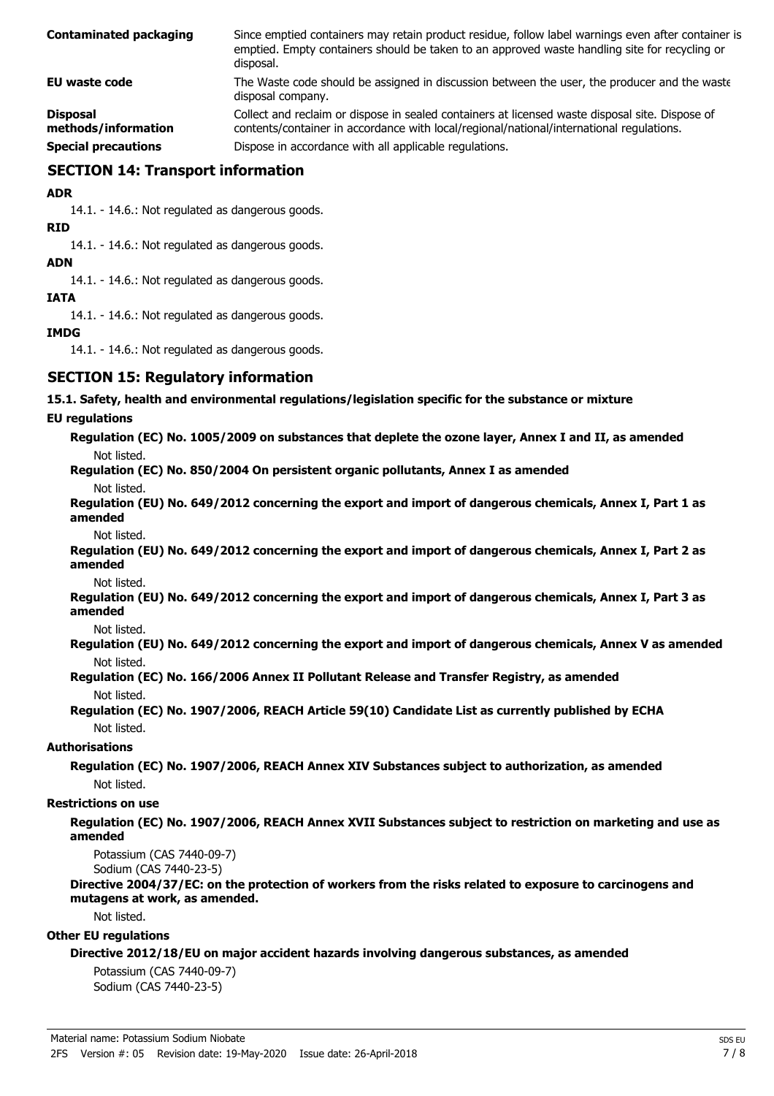| <b>Contaminated packaging</b>          | Since emptied containers may retain product residue, follow label warnings even after container is<br>emptied. Empty containers should be taken to an approved waste handling site for recycling or<br>disposal. |
|----------------------------------------|------------------------------------------------------------------------------------------------------------------------------------------------------------------------------------------------------------------|
| EU waste code                          | The Waste code should be assigned in discussion between the user, the producer and the waste<br>disposal company.                                                                                                |
| <b>Disposal</b><br>methods/information | Collect and reclaim or dispose in sealed containers at licensed waste disposal site. Dispose of<br>contents/container in accordance with local/regional/national/international regulations.                      |
| <b>Special precautions</b>             | Dispose in accordance with all applicable regulations.                                                                                                                                                           |

### **SECTION 14: Transport information**

**ADR**

14.1. - 14.6.: Not regulated as dangerous goods.

**RID**

14.1. - 14.6.: Not regulated as dangerous goods.

**ADN**

14.1. - 14.6.: Not regulated as dangerous goods.

#### **IATA**

14.1. - 14.6.: Not regulated as dangerous goods.

### **IMDG**

14.1. - 14.6.: Not regulated as dangerous goods.

### **SECTION 15: Regulatory information**

#### **15.1. Safety, health and environmental regulations/legislation specific for the substance or mixture**

### **EU regulations**

**Regulation (EC) No. 1005/2009 on substances that deplete the ozone layer, Annex I and II, as amended** Not listed.

**Regulation (EC) No. 850/2004 On persistent organic pollutants, Annex I as amended**

Not listed.

### **Regulation (EU) No. 649/2012 concerning the export and import of dangerous chemicals, Annex I, Part 1 as amended**

Not listed.

**Regulation (EU) No. 649/2012 concerning the export and import of dangerous chemicals, Annex I, Part 2 as amended**

Not listed.

**Regulation (EU) No. 649/2012 concerning the export and import of dangerous chemicals, Annex I, Part 3 as amended**

Not listed.

**Regulation (EU) No. 649/2012 concerning the export and import of dangerous chemicals, Annex V as amended** Not listed.

**Regulation (EC) No. 166/2006 Annex II Pollutant Release and Transfer Registry, as amended** Not listed.

### **Regulation (EC) No. 1907/2006, REACH Article 59(10) Candidate List as currently published by ECHA** Not listed.

### **Authorisations**

**Regulation (EC) No. 1907/2006, REACH Annex XIV Substances subject to authorization, as amended** Not listed.

#### **Restrictions on use**

### **Regulation (EC) No. 1907/2006, REACH Annex XVII Substances subject to restriction on marketing and use as amended**

Potassium (CAS 7440-09-7)

Sodium (CAS 7440-23-5)

#### **Directive 2004/37/EC: on the protection of workers from the risks related to exposure to carcinogens and mutagens at work, as amended.**

Not listed.

### **Other EU regulations**

### **Directive 2012/18/EU on major accident hazards involving dangerous substances, as amended**

Potassium (CAS 7440-09-7) Sodium (CAS 7440-23-5)